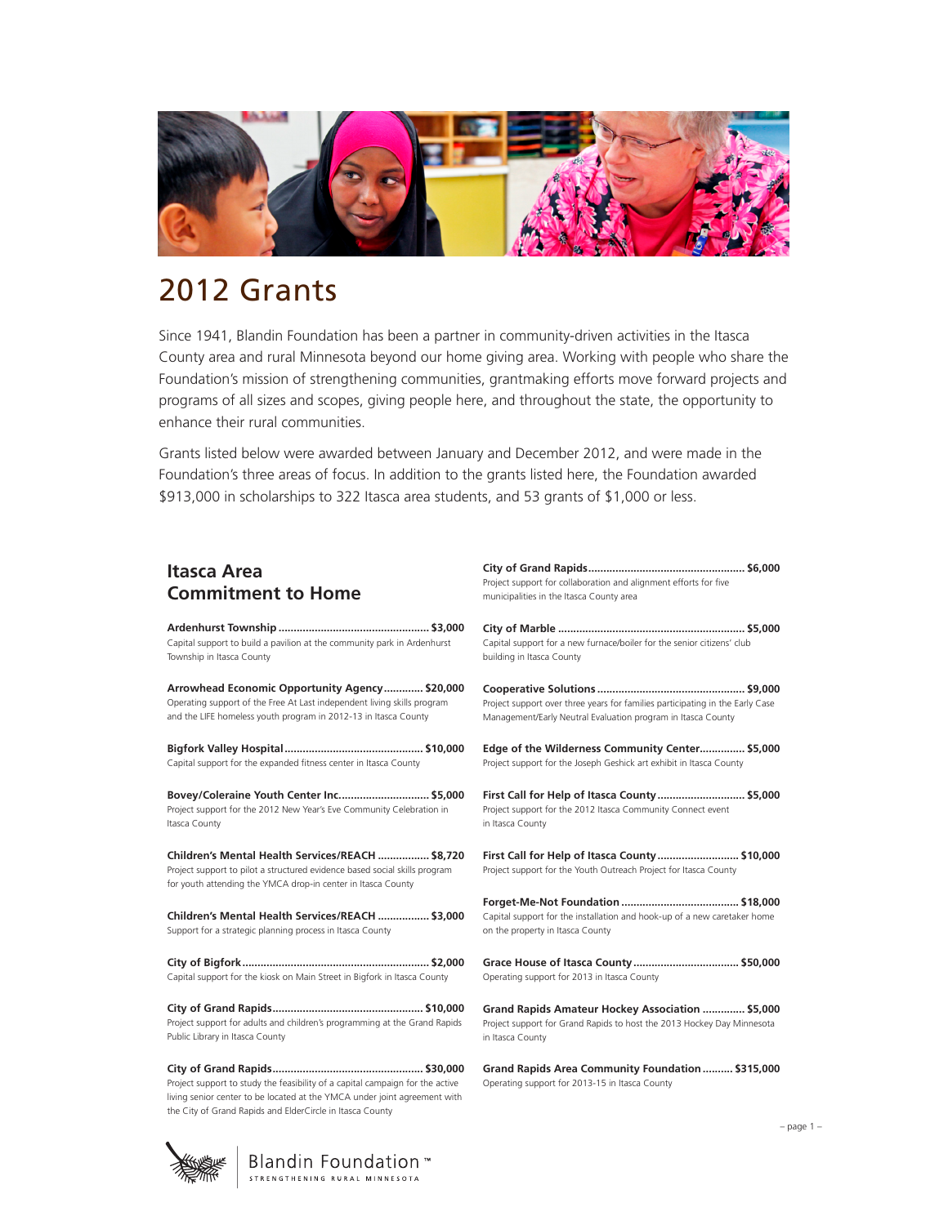

# 2012 Grants

Since 1941, Blandin Foundation has been a partner in community-driven activities in the Itasca County area and rural Minnesota beyond our home giving area. Working with people who share the Foundation's mission of strengthening communities, grantmaking efforts move forward projects and programs of all sizes and scopes, giving people here, and throughout the state, the opportunity to enhance their rural communities.

Grants listed below were awarded between January and December 2012, and were made in the Foundation's three areas of focus. In addition to the grants listed here, the Foundation awarded \$913,000 in scholarships to 322 Itasca area students, and 53 grants of \$1,000 or less.

# **Itasca Area Commitment to Home**

**Ardenhurst Township .................................................. \$3,000** Capital support to build a pavilion at the community park in Ardenhurs Township in Itasca County

**Arrowhead Economic Opportunity Agency............. \$20,000** Operating support of the Free At Last independent living skills program and the LIFE homeless youth program in 2012-13 in Itasca County

**Bigfork Valley Hospital.............................................. \$10,000** Capital support for the expanded fitness center in Itasca County

**Bovey/Coleraine Youth Center Inc.............................. \$5,000** Project support for the 2012 New Year's Eve Community Celebration in Itasca County

**Children's Mental Health Services/REACH ................. \$8,720** Project support to pilot a structured evidence based social skills program for youth attending the YMCA drop-in center in Itasca County

**Children's Mental Health Services/REACH ................. \$3,000** Support for a strategic planning process in Itasca County

**City of Bigfork.............................................................. \$2,000** Capital support for the kiosk on Main Street in Bigfork in Itasca County

**City of Grand Rapids.................................................. \$10,000** Project support for adults and children's programming at the Grand Rap Public Library in Itasca County

**City of Grand Rapids.................................................. \$30,000** Project support to study the feasibility of a capital campaign for the active living senior center to be located at the YMCA under joint agreement with the City of Grand Rapids and ElderCircle in Itasca County

|             | JU.UUU<br>Project support for collaboration and alignment efforts for five<br>municipalities in the Itasca County area                         |
|-------------|------------------------------------------------------------------------------------------------------------------------------------------------|
| 000<br>t.   | Capital support for a new furnace/boiler for the senior citizens' club<br>building in Itasca County                                            |
| 000         | Project support over three years for families participating in the Early Case<br>Management/Early Neutral Evaluation program in Itasca County  |
| 000         | Edge of the Wilderness Community Center \$5,000<br>Project support for the Joseph Geshick art exhibit in Itasca County                         |
| 000         | First Call for Help of Itasca County \$5,000<br>Project support for the 2012 Itasca Community Connect event<br>in Itasca County                |
| 720<br>'n.  | First Call for Help of Itasca County \$10,000<br>Project support for the Youth Outreach Project for Itasca County                              |
| 000         | Capital support for the installation and hook-up of a new caretaker home<br>on the property in Itasca County                                   |
| 000         | Operating support for 2013 in Itasca County                                                                                                    |
| 000<br>pids | Grand Rapids Amateur Hockey Association  \$5,000<br>Project support for Grand Rapids to host the 2013 Hockey Day Minnesota<br>in Itasca County |

**City of Grand Rapids.................................................... \$6,000**

**Grand Rapids Area Community Foundation.......... \$315,000**  Operating support for 2013-15 in Itasca County

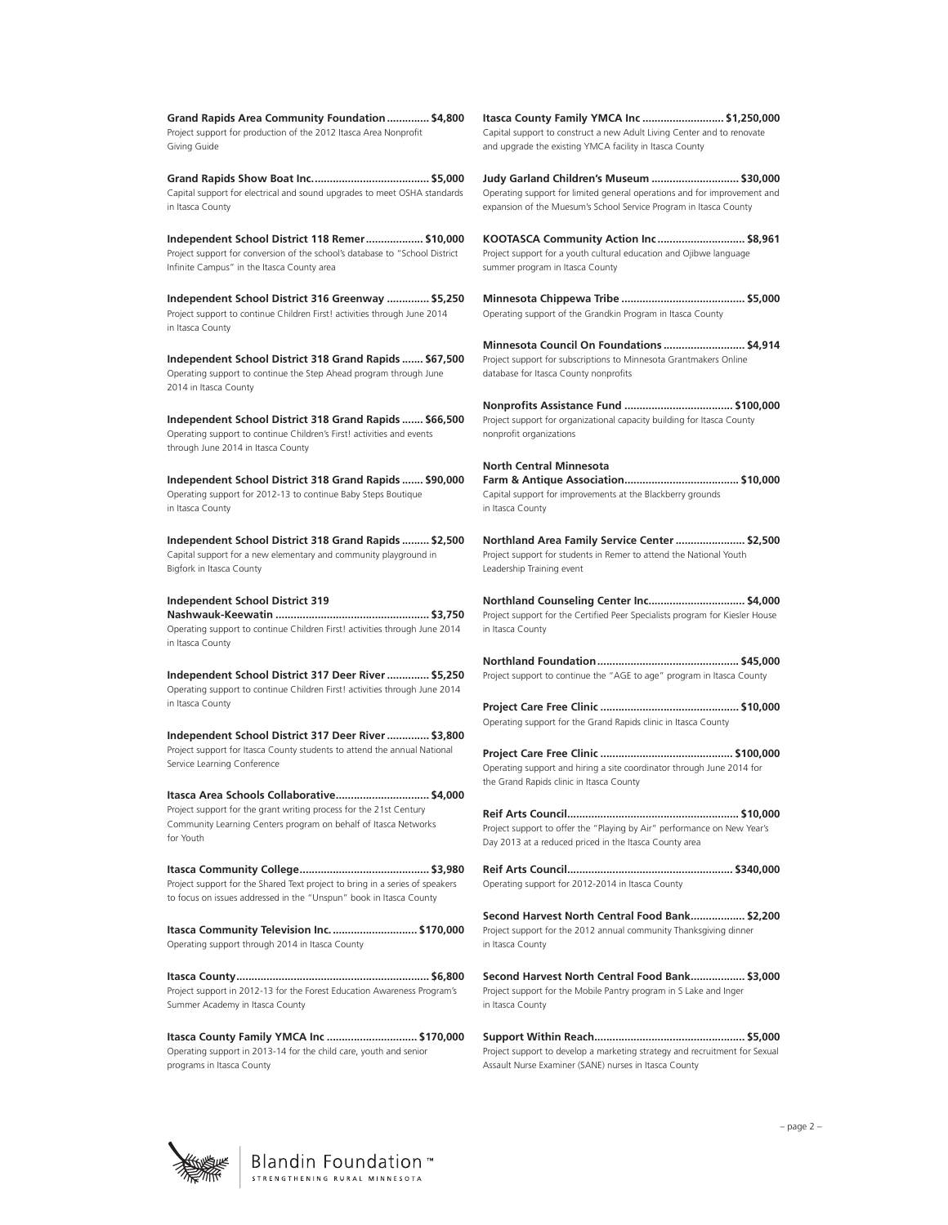**Grand Rapids Area Community Foundation.............. \$4,800** Project support for production of the 2012 Itasca Area Nonprofit Giving Guide

**Grand Rapids Show Boat Inc....................................... \$5,000** Capital support for electrical and sound upgrades to meet OSHA standards in Itasca County

**Independent School District 118 Remer................... \$10,000** Project support for conversion of the school's database to "School District Infinite Campus" in the Itasca County area

**Independent School District 316 Greenway .............. \$5,250** Project support to continue Children First! activities through June 2014 in Itasca County

**Independent School District 318 Grand Rapids ....... \$67,500** Operating support to continue the Step Ahead program through June 2014 in Itasca County

**Independent School District 318 Grand Rapids ....... \$66,500** Operating support to continue Children's First! activities and events through June 2014 in Itasca County

**Independent School District 318 Grand Rapids ....... \$90,000** Operating support for 2012-13 to continue Baby Steps Boutique in Itasca County

**Independent School District 318 Grand Rapids ......... \$2,500** Capital support for a new elementary and community playground in Bigfork in Itasca County

#### **Independent School District 319 Nashwauk-Keewatin ................................................... \$3,750** Operating support to continue Children First! activities through June 2014 in Itasca County

**Independent School District 317 Deer River.............. \$5,250** Operating support to continue Children First! activities through June 2014 in Itasca County

**Independent School District 317 Deer River.............. \$3,800** Project support for Itasca County students to attend the annual National Service Learning Conference

**Itasca Area Schools Collaborative............................... \$4,000** Project support for the grant writing process for the 21st Century Community Learning Centers program on behalf of Itasca Networks for Youth

**Itasca Community College........................................... \$3,980** Project support for the Shared Text project to bring in a series of speakers to focus on issues addressed in the "Unspun" book in Itasca County

**Itasca Community Television Inc............................. \$170,000**  Operating support through 2014 in Itasca County

**Itasca County................................................................ \$6,800** Project support in 2012-13 for the Forest Education Awareness Program's Summer Academy in Itasca County

**Itasca County Family YMCA Inc .............................. \$170,000** Operating support in 2013-14 for the child care, youth and senior programs in Itasca County

**Itasca County Family YMCA Inc ........................... \$1,250,000** Capital support to construct a new Adult Living Center and to renovate and upgrade the existing YMCA facility in Itasca County

**Judy Garland Children's Museum ............................. \$30,000** Operating support for limited general operations and for improvement and expansion of the Muesum's School Service Program in Itasca County

**KOOTASCA Community Action Inc ............................. \$8,961** Project support for a youth cultural education and Ojibwe language summer program in Itasca County

**Minnesota Chippewa Tribe ......................................... \$5,000** Operating support of the Grandkin Program in Itasca County

**Minnesota Council On Foundations ........................... \$4,914** Project support for subscriptions to Minnesota Grantmakers Online database for Itasca County nonprofits

**Nonprofits Assistance Fund .................................... \$100,000** Project support for organizational capacity building for Itasca County nonprofit organizations

**North Central Minnesota Farm & Antique Association...................................... \$10,000** Capital support for improvements at the Blackberry grounds in Itasca County

**Northland Area Family Service Center....................... \$2,500** Project support for students in Remer to attend the National Youth Leadership Training event

**Northland Counseling Center Inc................................ \$4,000** Project support for the Certified Peer Specialists program for Kiesler House in Itasca County

**Northland Foundation............................................... \$45,000** Project support to continue the "AGE to age" program in Itasca County

**Project Care Free Clinic .............................................. \$10,000** Operating support for the Grand Rapids clinic in Itasca County

**Project Care Free Clinic ............................................ \$100,000** Operating support and hiring a site coordinator through June 2014 for the Grand Rapids clinic in Itasca County

**Reif Arts Council......................................................... \$10,000** Project support to offer the "Playing by Air" performance on New Year's Day 2013 at a reduced priced in the Itasca County area

**Reif Arts Council....................................................... \$340,000** Operating support for 2012-2014 in Itasca County

**Second Harvest North Central Food Bank.................. \$2,200** Project support for the 2012 annual community Thanksgiving dinner in Itasca County

**Second Harvest North Central Food Bank.................. \$3,000** Project support for the Mobile Pantry program in S Lake and Inger in Itasca County

**Support Within Reach.................................................. \$5,000** Project support to develop a marketing strategy and recruitment for Sexual Assault Nurse Examiner (SANE) nurses in Itasca County

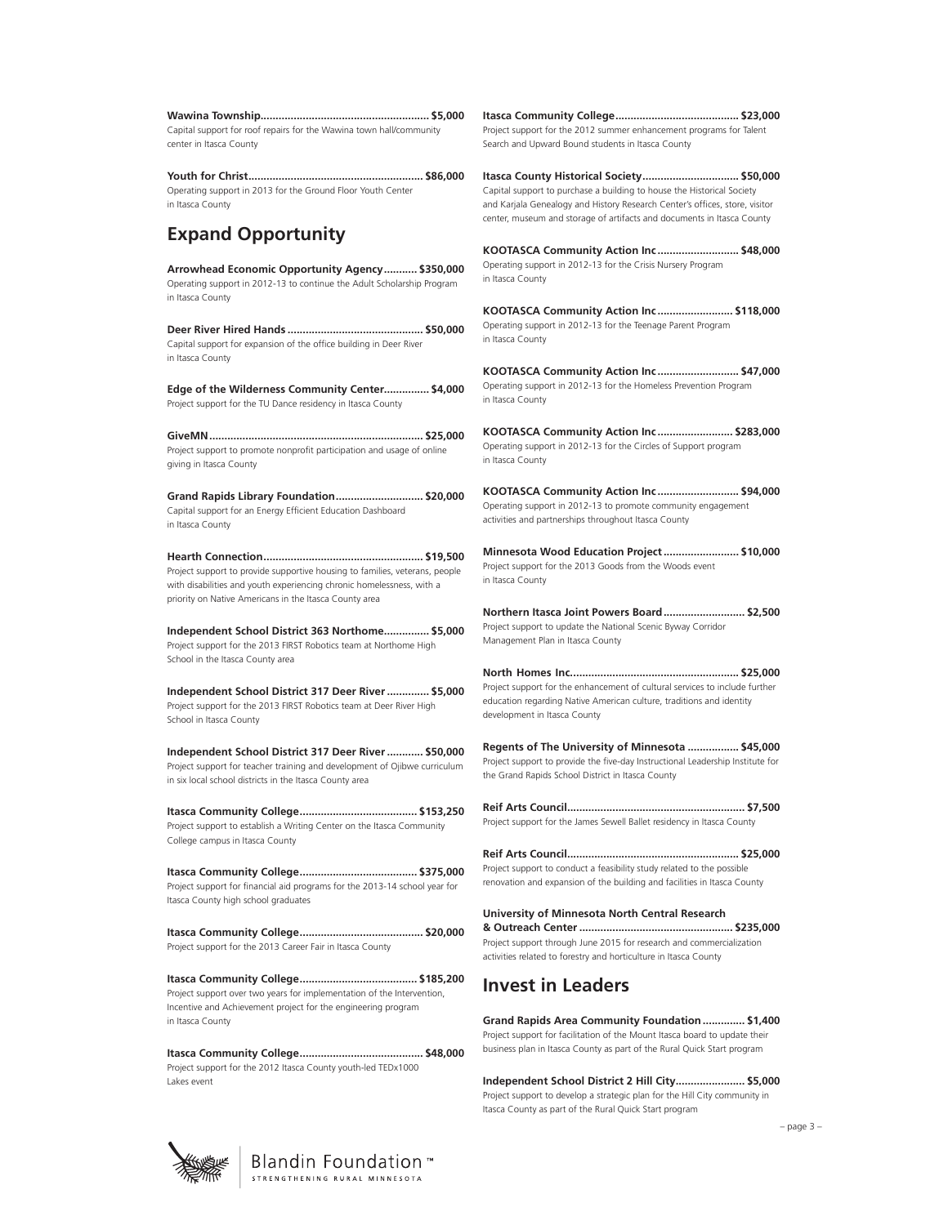| Capital support for roof repairs for the Wawina town hall/community |  |
|---------------------------------------------------------------------|--|
| center in Itasca County                                             |  |
|                                                                     |  |

**Youth for Christ.......................................................... \$86,000** Operating support in 2013 for the Ground Floor Youth Center in Itasca County

# **Expand Opportunity**

**Arrowhead Economic Opportunity Agency........... \$350,000** Operating support in 2012-13 to continue the Adult Scholarship Program in Itasca County

**Deer River Hired Hands ............................................. \$50,000** Capital support for expansion of the office building in Deer River in Itasca County

**Edge of the Wilderness Community Center............... \$4,000** Project support for the TU Dance residency in Itasca County

**GiveMN....................................................................... \$25,000** Project support to promote nonprofit participation and usage of online giving in Itasca County

**Grand Rapids Library Foundation............................. \$20,000** Capital support for an Energy Efficient Education Dashboard in Itasca County

**Hearth Connection..................................................... \$19,500** Project support to provide supportive housing to families, veterans, people with disabilities and youth experiencing chronic homelessness, with a priority on Native Americans in the Itasca County area

**Independent School District 363 Northome............... \$5,000** Project support for the 2013 FIRST Robotics team at Northome High School in the Itasca County area

**Independent School District 317 Deer River.............. \$5,000** Project support for the 2013 FIRST Robotics team at Deer River High School in Itasca County

**Independent School District 317 Deer River............ \$50,000** Project support for teacher training and development of Ojibwe curriculum in six local school districts in the Itasca County area

**Itasca Community College....................................... \$153,250** Project support to establish a Writing Center on the Itasca Community College campus in Itasca County

**Itasca Community College....................................... \$375,000** Project support for financial aid programs for the 2013-14 school year for Itasca County high school graduates

**Itasca Community College......................................... \$20,000**  Project support for the 2013 Career Fair in Itasca County

**Itasca Community College....................................... \$185,200** Project support over two years for implementation of the Intervention, Incentive and Achievement project for the engineering program in Itasca County

**Itasca Community College......................................... \$48,000** Project support for the 2012 Itasca County youth-led TEDx1000 Lakes event

**Itasca Community College......................................... \$23,000** Project support for the 2012 summer enhancement programs for Talent Search and Upward Bound students in Itasca County

**Itasca County Historical Society................................ \$50,000** Capital support to purchase a building to house the Historical Society and Karjala Genealogy and History Research Center's offices, store, visitor center, museum and storage of artifacts and documents in Itasca County

**KOOTASCA Community Action Inc ........................... \$48,000** Operating support in 2012-13 for the Crisis Nursery Program in Itasca County

**KOOTASCA Community Action Inc ......................... \$118,000** Operating support in 2012-13 for the Teenage Parent Program in Itasca County

**KOOTASCA Community Action Inc ........................... \$47,000** Operating support in 2012-13 for the Homeless Prevention Program in Itasca County

**KOOTASCA Community Action Inc ......................... \$283,000** Operating support in 2012-13 for the Circles of Support program in Itasca County

**KOOTASCA Community Action Inc ........................... \$94,000** Operating support in 2012-13 to promote community engagement activities and partnerships throughout Itasca County

**Minnesota Wood Education Project......................... \$10,000** Project support for the 2013 Goods from the Woods event in Itasca County

**Northern Itasca Joint Powers Board........................... \$2,500** Project support to update the National Scenic Byway Corridor Management Plan in Itasca County

**North Homes Inc........................................................ \$25,000** Project support for the enhancement of cultural services to include further education regarding Native American culture, traditions and identity development in Itasca County

**Regents of The University of Minnesota ................. \$45,000** Project support to provide the five-day Instructional Leadership Institute for the Grand Rapids School District in Itasca County

**Reif Arts Council........................................................... \$7,500** Project support for the James Sewell Ballet residency in Itasca County

**Reif Arts Council......................................................... \$25,000** Project support to conduct a feasibility study related to the possible renovation and expansion of the building and facilities in Itasca County

**University of Minnesota North Central Research & Outreach Center................................................... \$235,000** Project support through June 2015 for research and commercialization activities related to forestry and horticulture in Itasca County

## **Invest in Leaders**

**Grand Rapids Area Community Foundation.............. \$1,400** Project support for facilitation of the Mount Itasca board to update their business plan in Itasca County as part of the Rural Quick Start program

**Independent School District 2 Hill City....................... \$5,000** Project support to develop a strategic plan for the Hill City community in Itasca County as part of the Rural Quick Start program



– page 3 –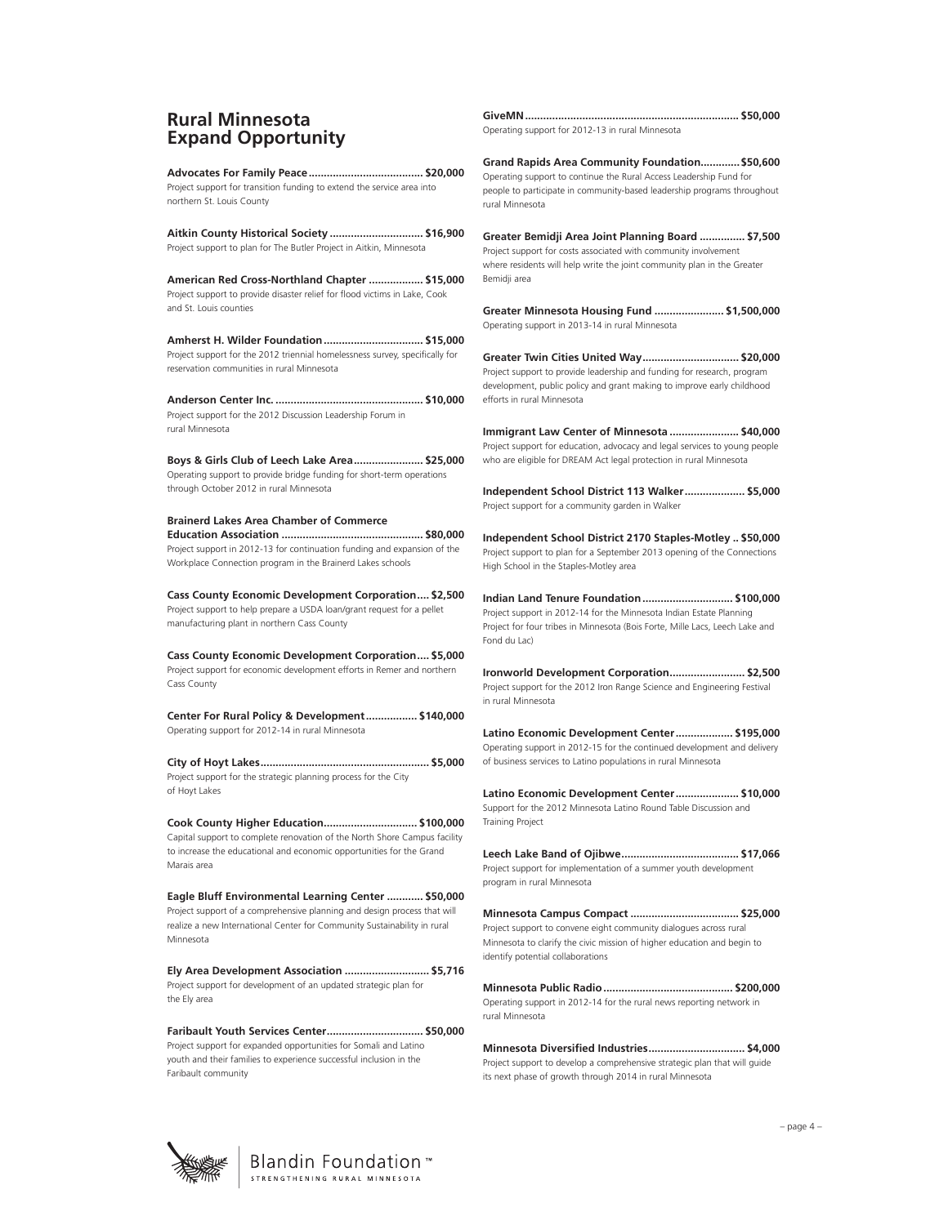### **Rural Minnesota Expand Opportunity**

**Advocates For Family Peace...................................... \$20,000** Project support for transition funding to extend the service area into northern St. Louis County

**Aitkin County Historical Society ............................... \$16,900**  Project support to plan for The Butler Project in Aitkin, Minnesota

**American Red Cross-Northland Chapter .................. \$15,000** Project support to provide disaster relief for flood victims in Lake, Cook and St. Louis counties

**Amherst H. Wilder Foundation................................. \$15,000** Project support for the 2012 triennial homelessness survey, specifically for reservation communities in rural Minnesota

**Anderson Center Inc. ................................................. \$10,000** Project support for the 2012 Discussion Leadership Forum in rural Minnesota

**Boys & Girls Club of Leech Lake Area....................... \$25,000** Operating support to provide bridge funding for short-term operations through October 2012 in rural Minnesota

**Brainerd Lakes Area Chamber of Commerce Education Association ............................................... \$80,000** Project support in 2012-13 for continuation funding and expansion of the Workplace Connection program in the Brainerd Lakes schools

**Cass County Economic Development Corporation.... \$2,500** Project support to help prepare a USDA loan/grant request for a pellet manufacturing plant in northern Cass County

**Cass County Economic Development Corporation.... \$5,000** Project support for economic development efforts in Remer and northern Cass County

**Center For Rural Policy & Development................. \$140,000** Operating support for 2012-14 in rural Minnesota

**City of Hoyt Lakes........................................................ \$5,000** Project support for the strategic planning process for the City of Hoyt Lakes

**Cook County Higher Education............................... \$100,000** Capital support to complete renovation of the North Shore Campus facility to increase the educational and economic opportunities for the Grand Marais area

**Eagle Bluff Environmental Learning Center ............ \$50,000** Project support of a comprehensive planning and design process that will realize a new International Center for Community Sustainability in rural Minnesota

**Ely Area Development Association ............................ \$5,716** Project support for development of an updated strategic plan for the Ely area

**Faribault Youth Services Center................................ \$50,000** Project support for expanded opportunities for Somali and Latino youth and their families to experience successful inclusion in the Faribault community

**GiveMN....................................................................... \$50,000**

Operating support for 2012-13 in rural Minnesota

**Grand Rapids Area Community Foundation.............\$50,600** Operating support to continue the Rural Access Leadership Fund for people to participate in community-based leadership programs throughout rural Minnesota

**Greater Bemidji Area Joint Planning Board ............... \$7,500** Project support for costs associated with community involvement where residents will help write the joint community plan in the Greater Bemidji area

**Greater Minnesota Housing Fund ....................... \$1,500,000** Operating support in 2013-14 in rural Minnesota

**Greater Twin Cities United Way................................ \$20,000** Project support to provide leadership and funding for research, program development, public policy and grant making to improve early childhood efforts in rural Minnesota

**Immigrant Law Center of Minnesota ....................... \$40,000** Project support for education, advocacy and legal services to young people who are eligible for DREAM Act legal protection in rural Minnesota

**Independent School District 113 Walker.................... \$5,000** Project support for a community garden in Walker

**Independent School District 2170 Staples-Motley .. \$50,000** Project support to plan for a September 2013 opening of the Connections High School in the Staples-Motley area

**Indian Land Tenure Foundation.............................. \$100,000** Project support in 2012-14 for the Minnesota Indian Estate Planning Project for four tribes in Minnesota (Bois Forte, Mille Lacs, Leech Lake and Fond du Lac)

**Ironworld Development Corporation......................... \$2,500** Project support for the 2012 Iron Range Science and Engineering Festival in rural Minnesota

**Latino Economic Development Center................... \$195,000** Operating support in 2012-15 for the continued development and delivery of business services to Latino populations in rural Minnesota

**Latino Economic Development Center..................... \$10,000** Support for the 2012 Minnesota Latino Round Table Discussion and Training Project

**Leech Lake Band of Ojibwe....................................... \$17,066** Project support for implementation of a summer youth development program in rural Minnesota

**Minnesota Campus Compact .................................... \$25,000** Project support to convene eight community dialogues across rural Minnesota to clarify the civic mission of higher education and begin to identify potential collaborations

**Minnesota Public Radio........................................... \$200,000** Operating support in 2012-14 for the rural news reporting network in rural Minnesota

**Minnesota Diversified Industries................................ \$4,000** Project support to develop a comprehensive strategic plan that will guide its next phase of growth through 2014 in rural Minnesota

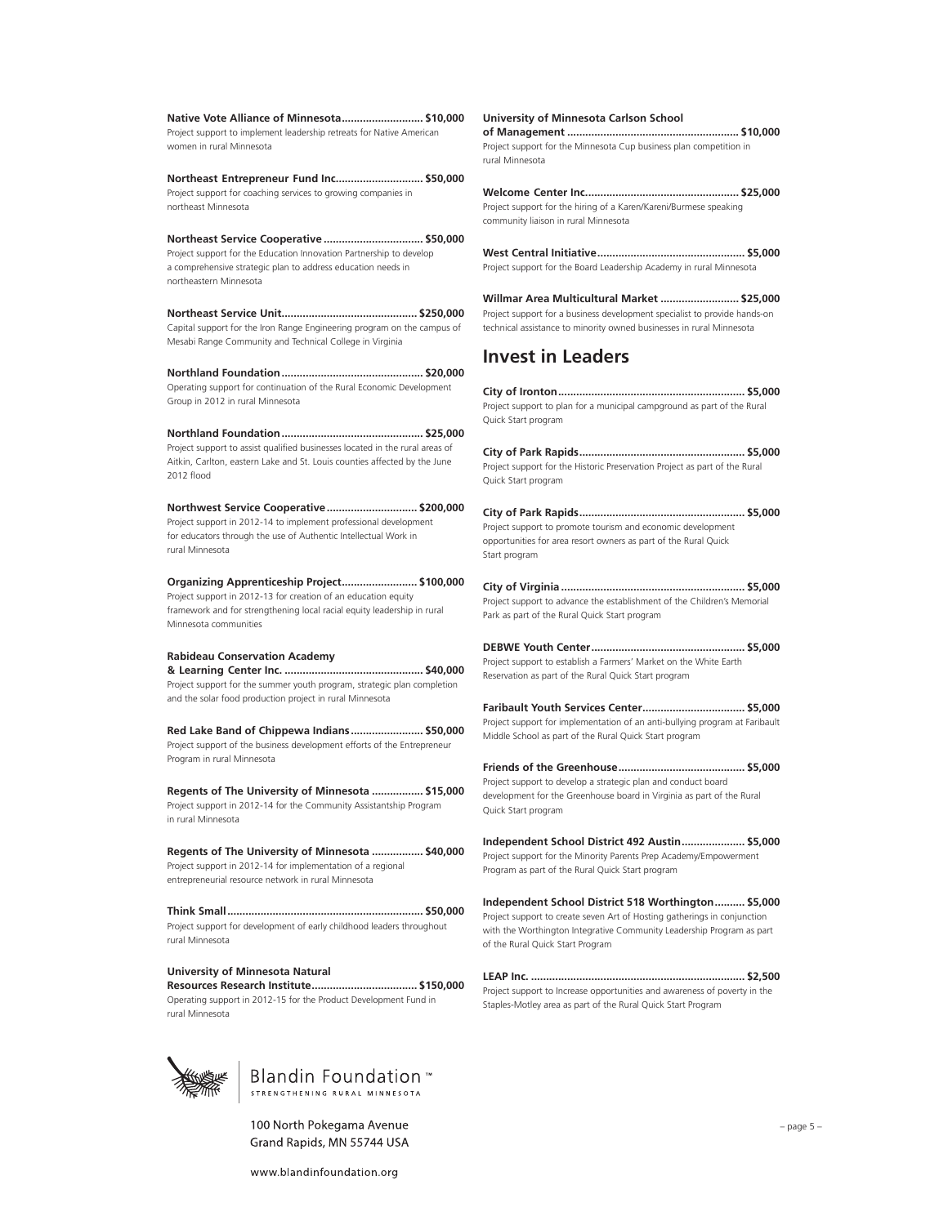**Native Vote Alliance of Minnesota........................... \$10,000** Project support to implement leadership retreats for Native American women in rural Minnesota

**Northeast Entrepreneur Fund Inc............................. \$50,000** Project support for coaching services to growing companies in northeast Minnesota

**Northeast Service Cooperative ................................. \$50,000** Project support for the Education Innovation Partnership to develop a comprehensive strategic plan to address education needs in northeastern Minnesota

**Northeast Service Unit............................................. \$250,000** Capital support for the Iron Range Engineering program on the campus of Mesabi Range Community and Technical College in Virginia

**Northland Foundation............................................... \$20,000** Operating support for continuation of the Rural Economic Development Group in 2012 in rural Minnesota

**Northland Foundation............................................... \$25,000** Project support to assist qualified businesses located in the rural areas of Aitkin, Carlton, eastern Lake and St. Louis counties affected by the June 2012 flood

**Northwest Service Cooperative.............................. \$200,000** Project support in 2012-14 to implement professional development for educators through the use of Authentic Intellectual Work in rural Minnesota

**Organizing Apprenticeship Project......................... \$100,000** Project support in 2012-13 for creation of an education equity framework and for strengthening local racial equity leadership in rural Minnesota communities

#### **Rabideau Conservation Academy**

**& Learning Center Inc. .............................................. \$40,000** Project support for the summer youth program, strategic plan completion and the solar food production project in rural Minnesota

**Red Lake Band of Chippewa Indians ........................ \$50,000** Project support of the business development efforts of the Entrepreneur Program in rural Minnesota

**Regents of The University of Minnesota ................. \$15,000** Project support in 2012-14 for the Community Assistantship Program in rural Minnesota

**Regents of The University of Minnesota ................. \$40,000** Project support in 2012-14 for implementation of a regional entrepreneurial resource network in rural Minnesota

**Think Small................................................................. \$50,000** Project support for development of early childhood leaders throughout rural Minnesota

#### **University of Minnesota Natural**

**Resources Research Institute................................... \$150,000** Operating support in 2012-15 for the Product Development Fund in rural Minnesota



100 North Pokegama Avenue Grand Rapids, MN 55744 USA **University of Minnesota Carlson School** 

**of Management ......................................................... \$10,000** Project support for the Minnesota Cup business plan competition in rural Minnesota

**Welcome Center Inc................................................... \$25,000** Project support for the hiring of a Karen/Kareni/Burmese speaking community liaison in rural Minnesota

**West Central Initiative................................................. \$5,000** Project support for the Board Leadership Academy in rural Minnesota

**Willmar Area Multicultural Market .......................... \$25,000** Project support for a business development specialist to provide hands-on technical assistance to minority owned businesses in rural Minnesota

#### **Invest in Leaders**

**City of Ironton.............................................................. \$5,000** Project support to plan for a municipal campground as part of the Rural Quick Start program

**City of Park Rapids....................................................... \$5,000** Project support for the Historic Preservation Project as part of the Rural Quick Start program

**City of Park Rapids....................................................... \$5,000** Project support to promote tourism and economic development opportunities for area resort owners as part of the Rural Quick Start program

**City of Virginia ............................................................. \$5,000** Project support to advance the establishment of the Children's Memorial Park as part of the Rural Quick Start program

**DEBWE Youth Center................................................... \$5,000** Project support to establish a Farmers' Market on the White Earth Reservation as part of the Rural Quick Start program

**Faribault Youth Services Center.................................. \$5,000** Project support for implementation of an anti-bullying program at Faribault Middle School as part of the Rural Quick Start program

**Friends of the Greenhouse.......................................... \$5,000** Project support to develop a strategic plan and conduct board development for the Greenhouse board in Virginia as part of the Rural Quick Start program

**Independent School District 492 Austin..................... \$5,000** Project support for the Minority Parents Prep Academy/Empowerment Program as part of the Rural Quick Start program

**Independent School District 518 Worthington.......... \$5,000** Project support to create seven Art of Hosting gatherings in conjunction with the Worthington Integrative Community Leadership Program as part of the Rural Quick Start Program

**LEAP Inc. ....................................................................... \$2,500** Project support to Increase opportunities and awareness of poverty in the Staples-Motley area as part of the Rural Quick Start Program

– page 5 –

www.blandinfoundation.org